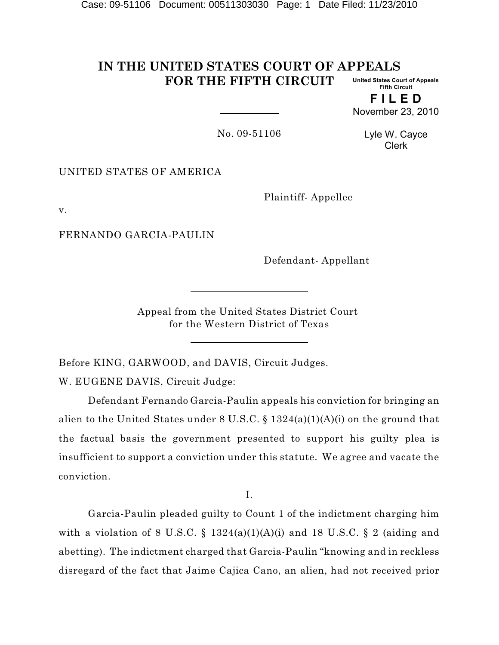#### **IN THE UNITED STATES COURT OF APPEALS FOR THE FIFTH CIRCUIT United States Court of Appeals Fifth Circuit**

**F I L E D** November 23, 2010

No. 09-51106

Lyle W. Cayce Clerk

UNITED STATES OF AMERICA

Plaintiff- Appellee

v.

FERNANDO GARCIA-PAULIN

Defendant- Appellant

Appeal from the United States District Court for the Western District of Texas

Before KING, GARWOOD, and DAVIS, Circuit Judges. W. EUGENE DAVIS, Circuit Judge:

Defendant Fernando Garcia-Paulin appeals his conviction for bringing an alien to the United States under 8 U.S.C.  $\S 1324(a)(1)(A)(i)$  on the ground that the factual basis the government presented to support his guilty plea is insufficient to support a conviction under this statute. We agree and vacate the conviction.

I.

Garcia-Paulin pleaded guilty to Count 1 of the indictment charging him with a violation of 8 U.S.C. § 1324(a)(1)(A)(i) and 18 U.S.C. § 2 (aiding and abetting). The indictment charged that Garcia-Paulin "knowing and in reckless disregard of the fact that Jaime Cajica Cano, an alien, had not received prior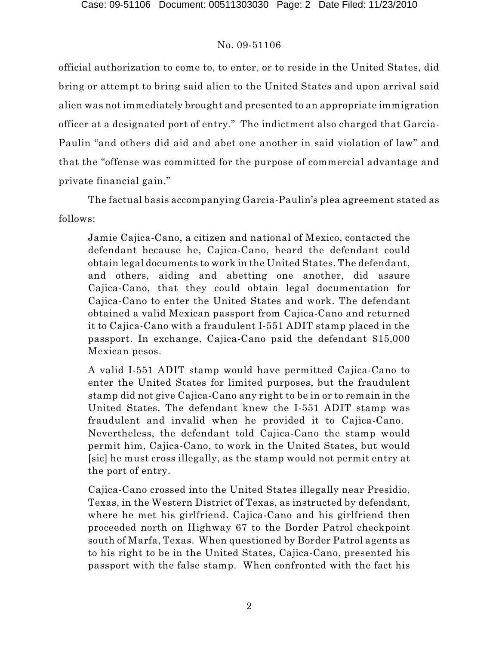official authorization to come to, to enter, or to reside in the United States, did bring or attempt to bring said alien to the United States and upon arrival said alien was not immediately brought and presented to an appropriate immigration officer at a designated port of entry." The indictment also charged that Garcia-Paulin "and others did aid and abet one another in said violation of law" and that the "offense was committed for the purpose of commercial advantage and private financial gain."

The factual basis accompanying Garcia-Paulin's plea agreement stated as follows:

Jamie Cajica-Cano, a citizen and national of Mexico, contacted the defendant because he, Cajica-Cano, heard the defendant could obtain legal documents to work in the United States. The defendant, and others, aiding and abetting one another, did assure Cajica-Cano, that they could obtain legal documentation for Cajica-Cano to enter the United States and work. The defendant obtained a valid Mexican passport from Cajica-Cano and returned it to Cajica-Cano with a fraudulent I-551 ADIT stamp placed in the passport. In exchange, Cajica-Cano paid the defendant \$15,000 Mexican pesos.

A valid I-551 ADIT stamp would have permitted Cajica-Cano to enter the United States for limited purposes, but the fraudulent stamp did not give Cajica-Cano any right to be in or to remain in the United States. The defendant knew the I-551 ADIT stamp was fraudulent and invalid when he provided it to Cajica-Cano. Nevertheless, the defendant told Cajica-Cano the stamp would permit him, Cajica-Cano, to work in the United States, but would [sic] he must cross illegally, as the stamp would not permit entry at the port of entry.

Cajica-Cano crossed into the United States illegally near Presidio, Texas, in the Western District of Texas, as instructed by defendant, where he met his girlfriend. Cajica-Cano and his girlfriend then proceeded north on Highway 67 to the Border Patrol checkpoint south of Marfa, Texas. When questioned by Border Patrol agents as to his right to be in the United States, Cajica-Cano, presented his passport with the false stamp. When confronted with the fact his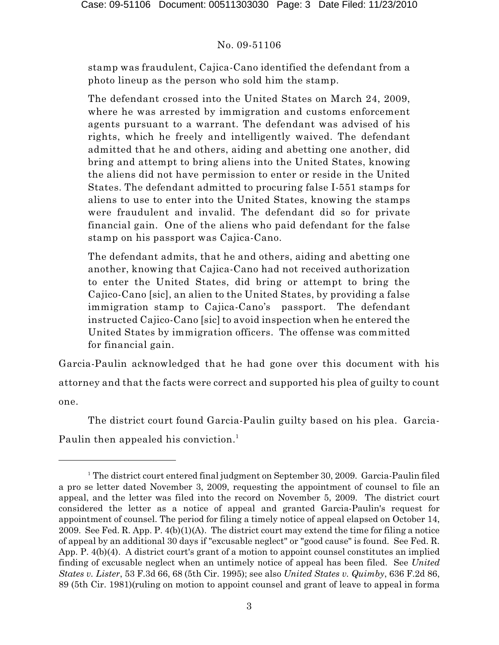stamp was fraudulent, Cajica-Cano identified the defendant from a photo lineup as the person who sold him the stamp.

The defendant crossed into the United States on March 24, 2009, where he was arrested by immigration and customs enforcement agents pursuant to a warrant. The defendant was advised of his rights, which he freely and intelligently waived. The defendant admitted that he and others, aiding and abetting one another, did bring and attempt to bring aliens into the United States, knowing the aliens did not have permission to enter or reside in the United States. The defendant admitted to procuring false I-551 stamps for aliens to use to enter into the United States, knowing the stamps were fraudulent and invalid. The defendant did so for private financial gain. One of the aliens who paid defendant for the false stamp on his passport was Cajica-Cano.

The defendant admits, that he and others, aiding and abetting one another, knowing that Cajica-Cano had not received authorization to enter the United States, did bring or attempt to bring the Cajico-Cano [sic], an alien to the United States, by providing a false immigration stamp to Cajica-Cano's passport. The defendant instructed Cajico-Cano [sic] to avoid inspection when he entered the United States by immigration officers. The offense was committed for financial gain.

Garcia-Paulin acknowledged that he had gone over this document with his attorney and that the facts were correct and supported his plea of guilty to count one.

The district court found Garcia-Paulin guilty based on his plea. Garcia-Paulin then appealed his conviction. 1

<sup>&</sup>lt;sup>1</sup> The district court entered final judgment on September 30, 2009. Garcia-Paulin filed a pro se letter dated November 3, 2009, requesting the appointment of counsel to file an appeal, and the letter was filed into the record on November 5, 2009. The district court considered the letter as a notice of appeal and granted Garcia-Paulin's request for appointment of counsel. The period for filing a timely notice of appeal elapsed on October 14, 2009. See Fed. R. App. P.  $4(b)(1)(A)$ . The district court may extend the time for filing a notice of appeal by an additional 30 days if "excusable neglect" or "good cause" is found. See Fed. R. App. P. 4(b)(4). A district court's grant of a motion to appoint counsel constitutes an implied finding of excusable neglect when an untimely notice of appeal has been filed. See *United States v. Lister*, 53 F.3d 66, 68 (5th Cir. 1995); see also *United States v. Quimby*, 636 F.2d 86, 89 (5th Cir. 1981)(ruling on motion to appoint counsel and grant of leave to appeal in forma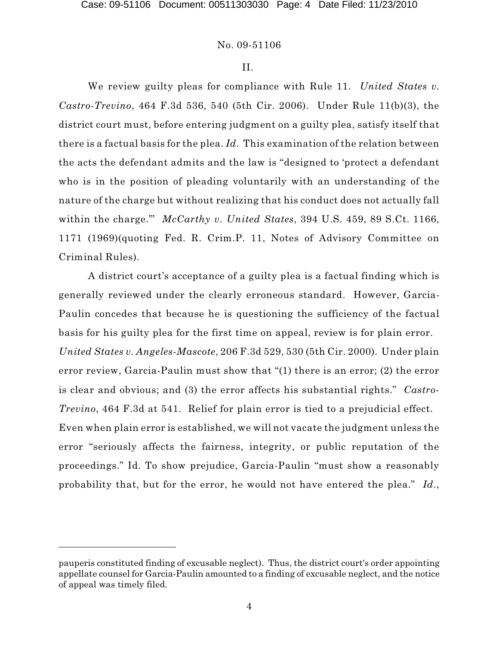#### II.

We review guilty pleas for compliance with Rule 11. *United States v. Castro-Trevino*, 464 F.3d 536, 540 (5th Cir. 2006). Under Rule 11(b)(3), the district court must, before entering judgment on a guilty plea, satisfy itself that there is a factual basis for the plea. *Id.* This examination of the relation between the acts the defendant admits and the law is "designed to 'protect a defendant who is in the position of pleading voluntarily with an understanding of the nature of the charge but without realizing that his conduct does not actually fall within the charge.'" *McCarthy v. United States*, 394 U.S. 459, 89 S.Ct. 1166, 1171 (1969)(quoting Fed. R. Crim.P. 11, Notes of Advisory Committee on Criminal Rules).

A district court's acceptance of a guilty plea is a factual finding which is generally reviewed under the clearly erroneous standard. However, Garcia-Paulin concedes that because he is questioning the sufficiency of the factual basis for his guilty plea for the first time on appeal, review is for plain error. *United States v. Angeles-Mascote*, 206 F.3d 529, 530 (5th Cir. 2000). Under plain error review, Garcia-Paulin must show that "(1) there is an error; (2) the error is clear and obvious; and (3) the error affects his substantial rights." *Castro-Trevino*, 464 F.3d at 541. Relief for plain error is tied to a prejudicial effect. Even when plain error is established, we will not vacate the judgment unless the error "seriously affects the fairness, integrity, or public reputation of the proceedings." Id. To show prejudice, Garcia-Paulin "must show a reasonably probability that, but for the error, he would not have entered the plea." *Id*.,

pauperis constituted finding of excusable neglect). Thus, the district court's order appointing appellate counsel for Garcia-Paulin amounted to a finding of excusable neglect, and the notice of appeal was timely filed.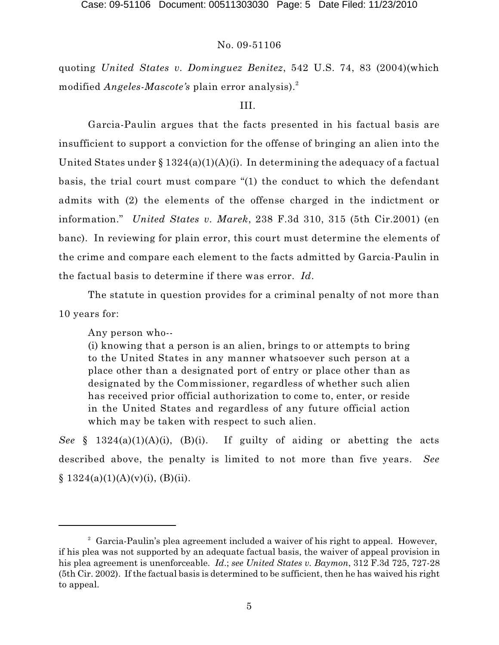quoting *United States v. Dominguez Benitez*, 542 U.S. 74, 83 (2004)(which modified *Angeles-Mascote's* plain error analysis). 2

# III.

Garcia-Paulin argues that the facts presented in his factual basis are insufficient to support a conviction for the offense of bringing an alien into the United States under  $\S 1324(a)(1)(A)(i)$ . In determining the adequacy of a factual basis, the trial court must compare "(1) the conduct to which the defendant admits with (2) the elements of the offense charged in the indictment or information." *United States v. Marek*, 238 F.3d 310, 315 (5th Cir.2001) (en banc). In reviewing for plain error, this court must determine the elements of the crime and compare each element to the facts admitted by Garcia-Paulin in the factual basis to determine if there was error. *Id*.

The statute in question provides for a criminal penalty of not more than 10 years for:

Any person who--

(i) knowing that a person is an alien, brings to or attempts to bring to the United States in any manner whatsoever such person at a place other than a designated port of entry or place other than as designated by the Commissioner, regardless of whether such alien has received prior official authorization to come to, enter, or reside in the United States and regardless of any future official action which may be taken with respect to such alien.

*See* § 1324(a)(1)(A)(i), (B)(i). If guilty of aiding or abetting the acts described above, the penalty is limited to not more than five years. *See*  $§ 1324(a)(1)(A)(v)(i), (B)(ii).$ 

 $\degree$  Garcia-Paulin's plea agreement included a waiver of his right to appeal. However, if his plea was not supported by an adequate factual basis, the waiver of appeal provision in his plea agreement is unenforceable. *Id*.; *see United States v. Baymon*, 312 F.3d 725, 727-28 (5th Cir. 2002). If the factual basis is determined to be sufficient, then he has waived his right to appeal.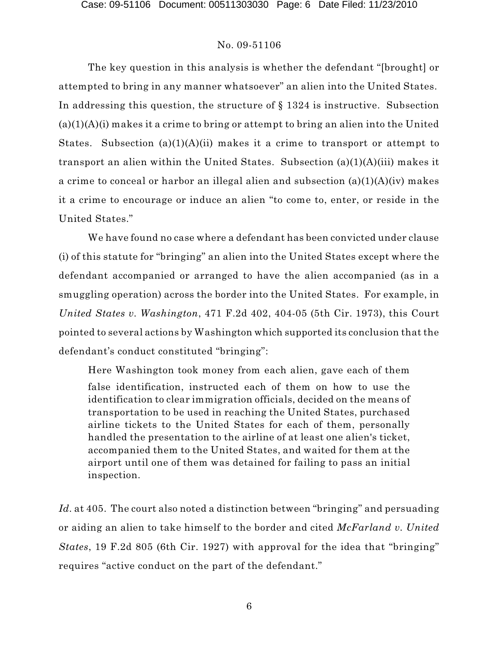The key question in this analysis is whether the defendant "[brought] or attempted to bring in any manner whatsoever" an alien into the United States. In addressing this question, the structure of § 1324 is instructive. Subsection  $(a)(1)(A)(i)$  makes it a crime to bring or attempt to bring an alien into the United States. Subsection  $(a)(1)(A)(ii)$  makes it a crime to transport or attempt to transport an alien within the United States. Subsection (a)(1)(A)(iii) makes it a crime to conceal or harbor an illegal alien and subsection (a)(1)(A)(iv) makes it a crime to encourage or induce an alien "to come to, enter, or reside in the United States."

We have found no case where a defendant has been convicted under clause (i) of this statute for "bringing" an alien into the United States except where the defendant accompanied or arranged to have the alien accompanied (as in a smuggling operation) across the border into the United States. For example, in *United States v. Washington*, 471 F.2d 402, 404-05 (5th Cir. 1973), this Court pointed to several actions by Washington which supported its conclusion that the defendant's conduct constituted "bringing":

Here Washington took money from each alien, gave each of them false identification, instructed each of them on how to use the identification to clear immigration officials, decided on the means of transportation to be used in reaching the United States, purchased airline tickets to the United States for each of them, personally handled the presentation to the airline of at least one alien's ticket, accompanied them to the United States, and waited for them at the airport until one of them was detained for failing to pass an initial inspection.

*Id.* at 405. The court also noted a distinction between "bringing" and persuading or aiding an alien to take himself to the border and cited *McFarland v. United States*, 19 F.2d 805 (6th Cir. 1927) with approval for the idea that "bringing" requires "active conduct on the part of the defendant."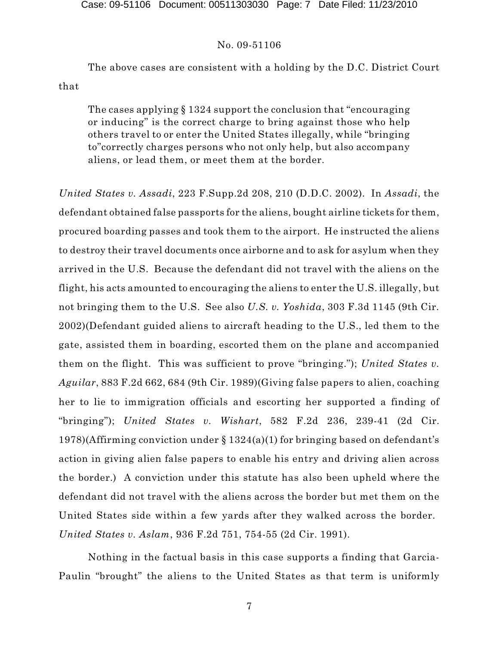The above cases are consistent with a holding by the D.C. District Court that

The cases applying § 1324 support the conclusion that "encouraging or inducing" is the correct charge to bring against those who help others travel to or enter the United States illegally, while "bringing to"correctly charges persons who not only help, but also accompany aliens, or lead them, or meet them at the border.

*United States v. Assadi*, 223 F.Supp.2d 208, 210 (D.D.C. 2002). In *Assadi*, the defendant obtained false passports for the aliens, bought airline tickets for them, procured boarding passes and took them to the airport. He instructed the aliens to destroy their travel documents once airborne and to ask for asylum when they arrived in the U.S. Because the defendant did not travel with the aliens on the flight, his acts amounted to encouraging the aliens to enter the U.S. illegally, but not bringing them to the U.S. See also *U.S. v. Yoshida*, 303 F.3d 1145 (9th Cir. 2002)(Defendant guided aliens to aircraft heading to the U.S., led them to the gate, assisted them in boarding, escorted them on the plane and accompanied them on the flight. This was sufficient to prove "bringing."); *United States v. Aguilar*, 883 F.2d 662, 684 (9th Cir. 1989)(Giving false papers to alien, coaching her to lie to immigration officials and escorting her supported a finding of "bringing"); *United States v. Wishart*, 582 F.2d 236, 239-41 (2d Cir. 1978)(Affirming conviction under § 1324(a)(1) for bringing based on defendant's action in giving alien false papers to enable his entry and driving alien across the border.) A conviction under this statute has also been upheld where the defendant did not travel with the aliens across the border but met them on the United States side within a few yards after they walked across the border. *United States v. Aslam*, 936 F.2d 751, 754-55 (2d Cir. 1991).

Nothing in the factual basis in this case supports a finding that Garcia-Paulin "brought" the aliens to the United States as that term is uniformly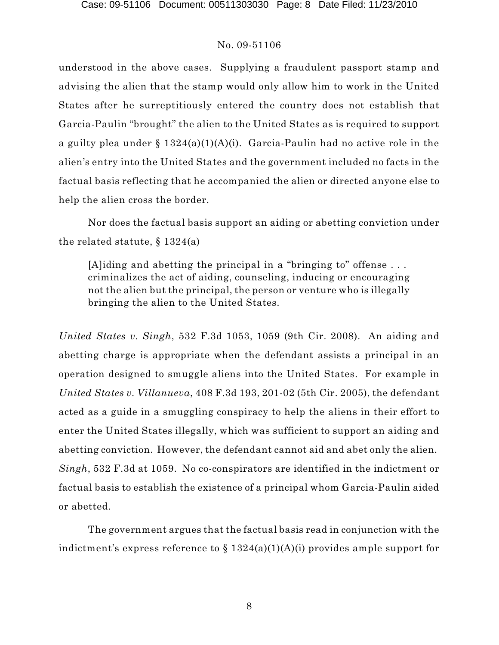understood in the above cases. Supplying a fraudulent passport stamp and advising the alien that the stamp would only allow him to work in the United States after he surreptitiously entered the country does not establish that Garcia-Paulin "brought" the alien to the United States as is required to support a guilty plea under §  $1324(a)(1)(A)(i)$ . Garcia-Paulin had no active role in the alien's entry into the United States and the government included no facts in the factual basis reflecting that he accompanied the alien or directed anyone else to help the alien cross the border.

Nor does the factual basis support an aiding or abetting conviction under the related statute,  $\S 1324(a)$ 

[A]iding and abetting the principal in a "bringing to" offense . . . criminalizes the act of aiding, counseling, inducing or encouraging not the alien but the principal, the person or venture who is illegally bringing the alien to the United States.

*United States v. Singh*, 532 F.3d 1053, 1059 (9th Cir. 2008). An aiding and abetting charge is appropriate when the defendant assists a principal in an operation designed to smuggle aliens into the United States. For example in *United States v. Villanueva*, 408 F.3d 193, 201-02 (5th Cir. 2005), the defendant acted as a guide in a smuggling conspiracy to help the aliens in their effort to enter the United States illegally, which was sufficient to support an aiding and abetting conviction. However, the defendant cannot aid and abet only the alien. *Singh*, 532 F.3d at 1059. No co-conspirators are identified in the indictment or factual basis to establish the existence of a principal whom Garcia-Paulin aided or abetted.

The government argues that the factual basis read in conjunction with the indictment's express reference to  $\S 1324(a)(1)(A)(i)$  provides ample support for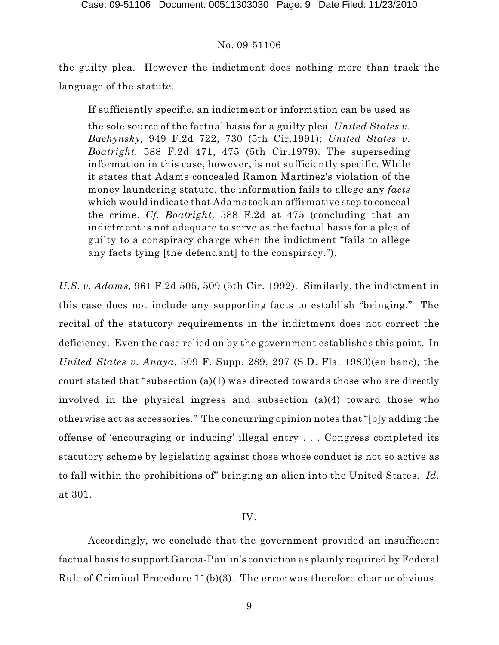the guilty plea. However the indictment does nothing more than track the language of the statute.

If sufficiently specific, an indictment or information can be used as

the sole source of the factual basis for a guilty plea. *United States v. Bachynsky,* 949 F.2d 722, 730 (5th Cir.1991); *United States v. Boatright,* 588 F.2d 471, 475 (5th Cir.1979). The superseding information in this case, however, is not sufficiently specific. While it states that Adams concealed Ramon Martinez's violation of the money laundering statute, the information fails to allege any *facts* which would indicate that Adams took an affirmative step to conceal the crime. *Cf. Boatright,* 588 F.2d at 475 (concluding that an indictment is not adequate to serve as the factual basis for a plea of guilty to a conspiracy charge when the indictment "fails to allege any facts tying [the defendant] to the conspiracy.").

*U.S. v. Adams,* 961 F.2d 505, 509 (5th Cir. 1992). Similarly, the indictment in this case does not include any supporting facts to establish "bringing." The recital of the statutory requirements in the indictment does not correct the deficiency. Even the case relied on by the government establishes this point. In *United States v. Anaya*, 509 F. Supp. 289, 297 (S.D. Fla. 1980)(en banc), the court stated that "subsection (a)(1) was directed towards those who are directly involved in the physical ingress and subsection (a)(4) toward those who otherwise act as accessories." The concurring opinion notes that "[b]y adding the offense of 'encouraging or inducing' illegal entry . . . Congress completed its statutory scheme by legislating against those whose conduct is not so active as to fall within the prohibitions of" bringing an alien into the United States. *Id.* at 301.

# IV.

Accordingly, we conclude that the government provided an insufficient factual basis to support Garcia-Paulin's conviction as plainly required by Federal Rule of Criminal Procedure 11(b)(3). The error was therefore clear or obvious.